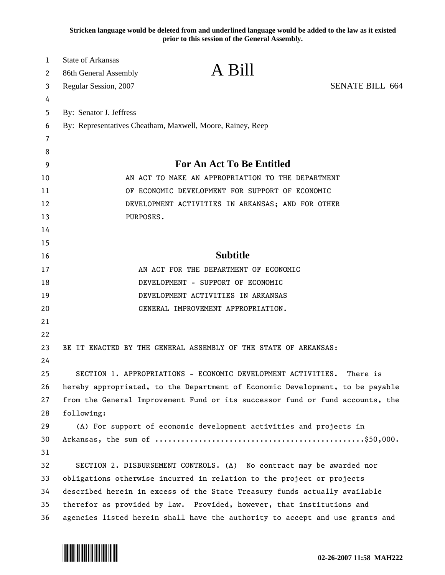**Stricken language would be deleted from and underlined language would be added to the law as it existed prior to this session of the General Assembly.**

| 1        | <b>State of Arkansas</b>                                                      | A Bill                                            |                        |  |
|----------|-------------------------------------------------------------------------------|---------------------------------------------------|------------------------|--|
| 2        | 86th General Assembly                                                         |                                                   |                        |  |
| 3        | Regular Session, 2007                                                         |                                                   | <b>SENATE BILL 664</b> |  |
| 4        |                                                                               |                                                   |                        |  |
| 5        | By: Senator J. Jeffress                                                       |                                                   |                        |  |
| 6        | By: Representatives Cheatham, Maxwell, Moore, Rainey, Reep                    |                                                   |                        |  |
| 7        |                                                                               |                                                   |                        |  |
| 8        |                                                                               |                                                   |                        |  |
| 9        | <b>For An Act To Be Entitled</b>                                              |                                                   |                        |  |
| 10       |                                                                               | AN ACT TO MAKE AN APPROPRIATION TO THE DEPARTMENT |                        |  |
| 11       |                                                                               | OF ECONOMIC DEVELOPMENT FOR SUPPORT OF ECONOMIC   |                        |  |
| 12       |                                                                               | DEVELOPMENT ACTIVITIES IN ARKANSAS; AND FOR OTHER |                        |  |
| 13       | PURPOSES.                                                                     |                                                   |                        |  |
| 14       |                                                                               |                                                   |                        |  |
| 15<br>16 |                                                                               | <b>Subtitle</b>                                   |                        |  |
| 17       |                                                                               | AN ACT FOR THE DEPARTMENT OF ECONOMIC             |                        |  |
| 18       | DEVELOPMENT - SUPPORT OF ECONOMIC                                             |                                                   |                        |  |
| 19       |                                                                               | DEVELOPMENT ACTIVITIES IN ARKANSAS                |                        |  |
| 20       |                                                                               | GENERAL IMPROVEMENT APPROPRIATION.                |                        |  |
| 21       |                                                                               |                                                   |                        |  |
| 22       |                                                                               |                                                   |                        |  |
| 23       | BE IT ENACTED BY THE GENERAL ASSEMBLY OF THE STATE OF ARKANSAS:               |                                                   |                        |  |
| 24       |                                                                               |                                                   |                        |  |
| 25       | SECTION 1. APPROPRIATIONS - ECONOMIC DEVELOPMENT ACTIVITIES.                  |                                                   | There is               |  |
| 26       | hereby appropriated, to the Department of Economic Development, to be payable |                                                   |                        |  |
| 27       | from the General Improvement Fund or its successor fund or fund accounts, the |                                                   |                        |  |
| 28       | following:                                                                    |                                                   |                        |  |
| 29       | (A) For support of economic development activities and projects in            |                                                   |                        |  |
| 30       |                                                                               |                                                   |                        |  |
| 31       |                                                                               |                                                   |                        |  |
| 32       | SECTION 2. DISBURSEMENT CONTROLS. (A) No contract may be awarded nor          |                                                   |                        |  |
| 33       | obligations otherwise incurred in relation to the project or projects         |                                                   |                        |  |
| 34       | described herein in excess of the State Treasury funds actually available     |                                                   |                        |  |
| 35       | therefor as provided by law. Provided, however, that institutions and         |                                                   |                        |  |
| 36       | agencies listed herein shall have the authority to accept and use grants and  |                                                   |                        |  |